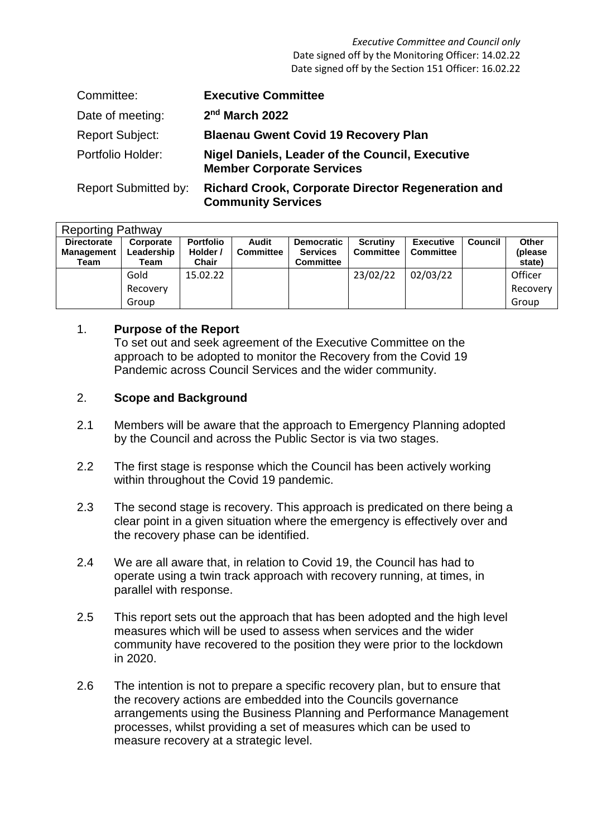*Executive Committee and Council only* Date signed off by the Monitoring Officer: 14.02.22 Date signed off by the Section 151 Officer: 16.02.22

| Committee:                  | <b>Executive Committee</b>                                                                 |
|-----------------------------|--------------------------------------------------------------------------------------------|
| Date of meeting:            | 2 <sup>nd</sup> March 2022                                                                 |
| <b>Report Subject:</b>      | <b>Blaenau Gwent Covid 19 Recovery Plan</b>                                                |
| Portfolio Holder:           | <b>Nigel Daniels, Leader of the Council, Executive</b><br><b>Member Corporate Services</b> |
| <b>Report Submitted by:</b> | <b>Richard Crook, Corporate Director Regeneration and</b>                                  |

**Community Services**

| <b>Reporting Pathway</b>                        |                                 |                                       |                           |                                                          |                                     |                                      |                |                            |  |  |
|-------------------------------------------------|---------------------------------|---------------------------------------|---------------------------|----------------------------------------------------------|-------------------------------------|--------------------------------------|----------------|----------------------------|--|--|
| <b>Directorate</b><br><b>Management</b><br>Team | Corporate<br>Leadership<br>Team | <b>Portfolio</b><br>Holder /<br>Chair | Audit<br><b>Committee</b> | <b>Democratic</b><br><b>Services</b><br><b>Committee</b> | <b>Scrutiny</b><br><b>Committee</b> | <b>Executive</b><br><b>Committee</b> | <b>Council</b> | Other<br>(please<br>state) |  |  |
|                                                 | Gold                            | 15.02.22                              |                           |                                                          | 23/02/22                            | 02/03/22                             |                | Officer                    |  |  |
|                                                 | Recovery                        |                                       |                           |                                                          |                                     |                                      |                | Recovery                   |  |  |
|                                                 | Group                           |                                       |                           |                                                          |                                     |                                      |                | Group                      |  |  |

### 1. **Purpose of the Report**

To set out and seek agreement of the Executive Committee on the approach to be adopted to monitor the Recovery from the Covid 19 Pandemic across Council Services and the wider community.

#### 2. **Scope and Background**

- 2.1 Members will be aware that the approach to Emergency Planning adopted by the Council and across the Public Sector is via two stages.
- 2.2 The first stage is response which the Council has been actively working within throughout the Covid 19 pandemic.
- 2.3 The second stage is recovery. This approach is predicated on there being a clear point in a given situation where the emergency is effectively over and the recovery phase can be identified.
- 2.4 We are all aware that, in relation to Covid 19, the Council has had to operate using a twin track approach with recovery running, at times, in parallel with response.
- 2.5 This report sets out the approach that has been adopted and the high level measures which will be used to assess when services and the wider community have recovered to the position they were prior to the lockdown in 2020.
- 2.6 The intention is not to prepare a specific recovery plan, but to ensure that the recovery actions are embedded into the Councils governance arrangements using the Business Planning and Performance Management processes, whilst providing a set of measures which can be used to measure recovery at a strategic level.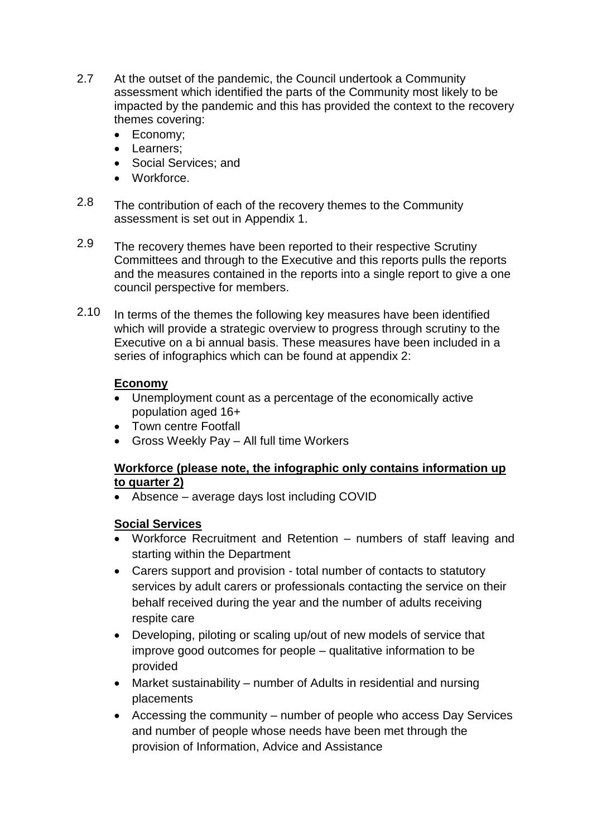- 2.7 At the outset of the pandemic, the Council undertook a Community assessment which identified the parts of the Community most likely to be impacted by the pandemic and this has provided the context to the recovery themes covering:
	- Economy;
	- Learners;
	- Social Services: and
	- Workforce.
- 2.8 The contribution of each of the recovery themes to the Community assessment is set out in Appendix 1.
- 2.9 The recovery themes have been reported to their respective Scrutiny Committees and through to the Executive and this reports pulls the reports and the measures contained in the reports into a single report to give a one council perspective for members.
- 2.10 In terms of the themes the following key measures have been identified which will provide a strategic overview to progress through scrutiny to the Executive on a bi annual basis. These measures have been included in a series of infographics which can be found at appendix 2:

# **Economy**

- Unemployment count as a percentage of the economically active population aged 16+
- Town centre Footfall
- Gross Weekly Pay All full time Workers

## **Workforce (please note, the infographic only contains information up to quarter 2)**

Absence – average days lost including COVID

# **Social Services**

- Workforce Recruitment and Retention numbers of staff leaving and starting within the Department
- Carers support and provision total number of contacts to statutory services by adult carers or professionals contacting the service on their behalf received during the year and the number of adults receiving respite care
- Developing, piloting or scaling up/out of new models of service that improve good outcomes for people – qualitative information to be provided
- Market sustainability number of Adults in residential and nursing placements
- Accessing the community number of people who access Day Services and number of people whose needs have been met through the provision of Information, Advice and Assistance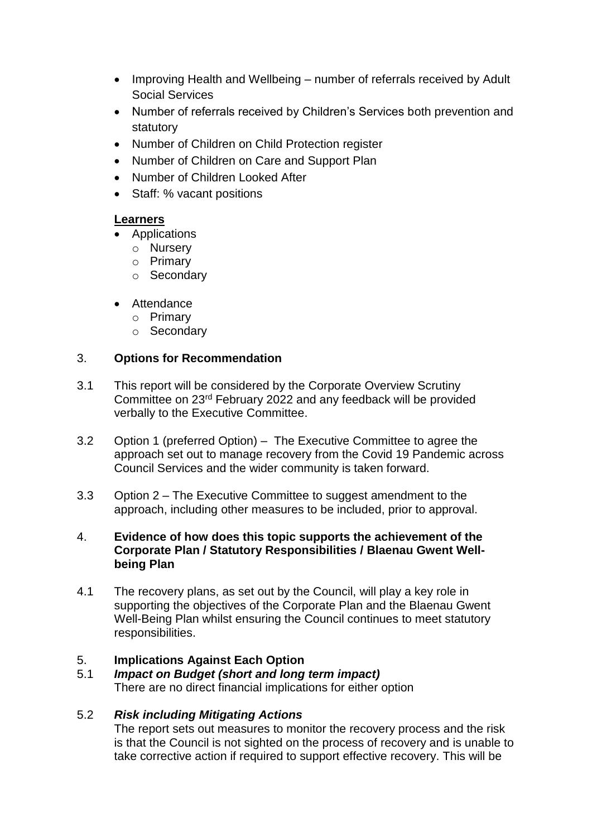- Improving Health and Wellbeing number of referrals received by Adult Social Services
- Number of referrals received by Children's Services both prevention and statutory
- Number of Children on Child Protection register
- Number of Children on Care and Support Plan
- Number of Children Looked After
- Staff: % vacant positions

## **Learners**

- Applications
	- o Nursery
	- o Primary
	- o Secondary
- Attendance
	- o Primary
	- o Secondary

## 3. **Options for Recommendation**

- 3.1 This report will be considered by the Corporate Overview Scrutiny Committee on 23rd February 2022 and any feedback will be provided verbally to the Executive Committee.
- 3.2 Option 1 (preferred Option) – The Executive Committee to agree the approach set out to manage recovery from the Covid 19 Pandemic across Council Services and the wider community is taken forward.
- 3.3 Option 2 – The Executive Committee to suggest amendment to the approach, including other measures to be included, prior to approval.
- 4. **Evidence of how does this topic supports the achievement of the Corporate Plan / Statutory Responsibilities / Blaenau Gwent Wellbeing Plan**
- 4.1 The recovery plans, as set out by the Council, will play a key role in supporting the objectives of the Corporate Plan and the Blaenau Gwent Well-Being Plan whilst ensuring the Council continues to meet statutory responsibilities.

# 5. **Implications Against Each Option**

5.1 *Impact on Budget (short and long term impact)* There are no direct financial implications for either option

### 5.2 *Risk including Mitigating Actions*

The report sets out measures to monitor the recovery process and the risk is that the Council is not sighted on the process of recovery and is unable to take corrective action if required to support effective recovery. This will be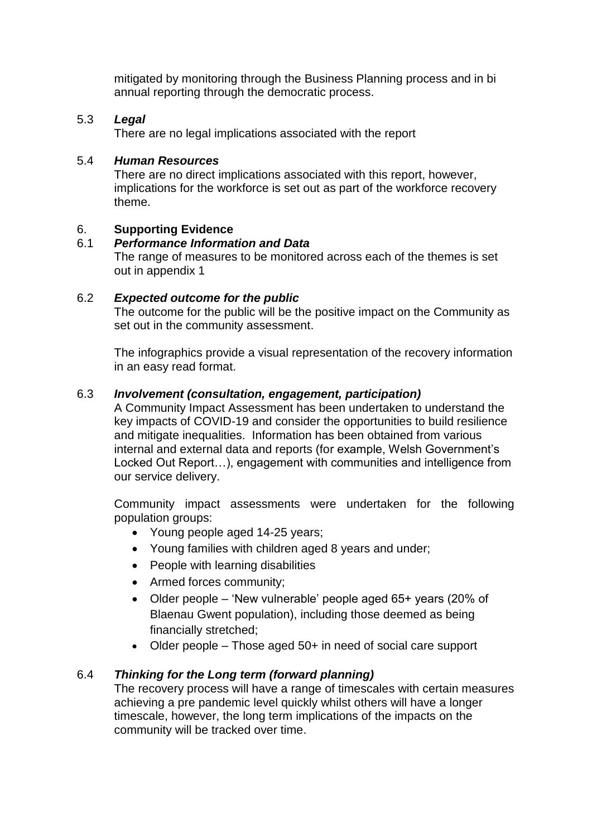mitigated by monitoring through the Business Planning process and in bi annual reporting through the democratic process.

## 5.3 *Legal*

There are no legal implications associated with the report

#### 5.4 *Human Resources*

There are no direct implications associated with this report, however, implications for the workforce is set out as part of the workforce recovery theme.

## 6. **Supporting Evidence**

#### 6.1 *Performance Information and Data*

The range of measures to be monitored across each of the themes is set out in appendix 1

### 6.2 *Expected outcome for the public*

The outcome for the public will be the positive impact on the Community as set out in the community assessment.

The infographics provide a visual representation of the recovery information in an easy read format.

#### 6.3 *Involvement (consultation, engagement, participation)*

A Community Impact Assessment has been undertaken to understand the key impacts of COVID-19 and consider the opportunities to build resilience and mitigate inequalities. Information has been obtained from various internal and external data and reports (for example, Welsh Government's Locked Out Report…), engagement with communities and intelligence from our service delivery.

Community impact assessments were undertaken for the following population groups:

- Young people aged 14-25 years;
- Young families with children aged 8 years and under;
- People with learning disabilities
- Armed forces community;
- Older people 'New vulnerable' people aged 65+ years (20% of Blaenau Gwent population), including those deemed as being financially stretched;
- $\bullet$  Older people Those aged 50+ in need of social care support

### 6.4 *Thinking for the Long term (forward planning)*

The recovery process will have a range of timescales with certain measures achieving a pre pandemic level quickly whilst others will have a longer timescale, however, the long term implications of the impacts on the community will be tracked over time.